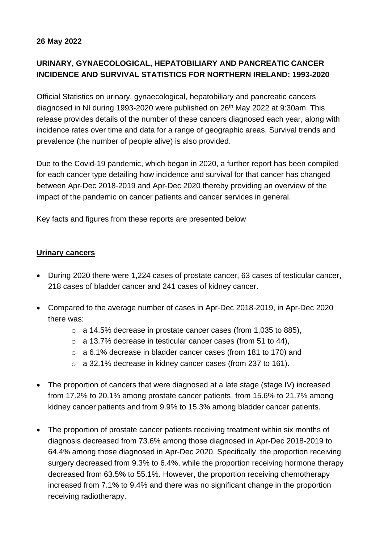### **26 May 2022**

# **URINARY, GYNAECOLOGICAL, HEPATOBILIARY AND PANCREATIC CANCER INCIDENCE AND SURVIVAL STATISTICS FOR NORTHERN IRELAND: 1993-2020**

Official Statistics on urinary, gynaecological, hepatobiliary and pancreatic cancers diagnosed in NI during 1993-2020 were published on 26<sup>th</sup> May 2022 at 9:30am. This release provides details of the number of these cancers diagnosed each year, along with incidence rates over time and data for a range of geographic areas. Survival trends and prevalence (the number of people alive) is also provided.

Due to the Covid-19 pandemic, which began in 2020, a further report has been compiled for each cancer type detailing how incidence and survival for that cancer has changed between Apr-Dec 2018-2019 and Apr-Dec 2020 thereby providing an overview of the impact of the pandemic on cancer patients and cancer services in general.

Key facts and figures from these reports are presented below

### **Urinary cancers**

- During 2020 there were 1,224 cases of prostate cancer, 63 cases of testicular cancer, 218 cases of bladder cancer and 241 cases of kidney cancer.
- Compared to the average number of cases in Apr-Dec 2018-2019, in Apr-Dec 2020 there was:
	- o a 14.5% decrease in prostate cancer cases (from 1,035 to 885),
	- o a 13.7% decrease in testicular cancer cases (from 51 to 44),
	- o a 6.1% decrease in bladder cancer cases (from 181 to 170) and
	- o a 32.1% decrease in kidney cancer cases (from 237 to 161).
- The proportion of cancers that were diagnosed at a late stage (stage IV) increased from 17.2% to 20.1% among prostate cancer patients, from 15.6% to 21.7% among kidney cancer patients and from 9.9% to 15.3% among bladder cancer patients.
- The proportion of prostate cancer patients receiving treatment within six months of diagnosis decreased from 73.6% among those diagnosed in Apr-Dec 2018-2019 to 64.4% among those diagnosed in Apr-Dec 2020. Specifically, the proportion receiving surgery decreased from 9.3% to 6.4%, while the proportion receiving hormone therapy decreased from 63.5% to 55.1%. However, the proportion receiving chemotherapy increased from 7.1% to 9.4% and there was no significant change in the proportion receiving radiotherapy.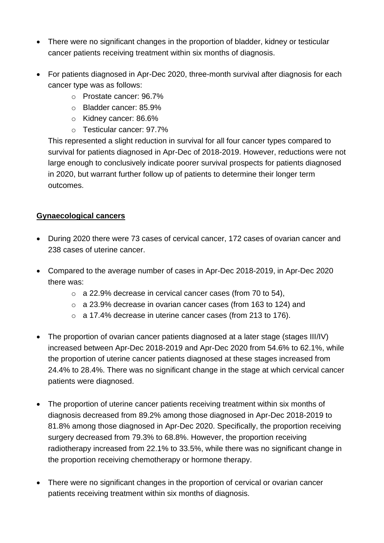- There were no significant changes in the proportion of bladder, kidney or testicular cancer patients receiving treatment within six months of diagnosis.
- For patients diagnosed in Apr-Dec 2020, three-month survival after diagnosis for each cancer type was as follows:
	- o Prostate cancer: 96.7%
	- o Bladder cancer: 85.9%
	- o Kidney cancer: 86.6%
	- o Testicular cancer: 97.7%

This represented a slight reduction in survival for all four cancer types compared to survival for patients diagnosed in Apr-Dec of 2018-2019. However, reductions were not large enough to conclusively indicate poorer survival prospects for patients diagnosed in 2020, but warrant further follow up of patients to determine their longer term outcomes.

### **Gynaecological cancers**

- During 2020 there were 73 cases of cervical cancer, 172 cases of ovarian cancer and 238 cases of uterine cancer.
- Compared to the average number of cases in Apr-Dec 2018-2019, in Apr-Dec 2020 there was:
	- o a 22.9% decrease in cervical cancer cases (from 70 to 54),
	- o a 23.9% decrease in ovarian cancer cases (from 163 to 124) and
	- o a 17.4% decrease in uterine cancer cases (from 213 to 176).
- The proportion of ovarian cancer patients diagnosed at a later stage (stages III/IV) increased between Apr-Dec 2018-2019 and Apr-Dec 2020 from 54.6% to 62.1%, while the proportion of uterine cancer patients diagnosed at these stages increased from 24.4% to 28.4%. There was no significant change in the stage at which cervical cancer patients were diagnosed.
- The proportion of uterine cancer patients receiving treatment within six months of diagnosis decreased from 89.2% among those diagnosed in Apr-Dec 2018-2019 to 81.8% among those diagnosed in Apr-Dec 2020. Specifically, the proportion receiving surgery decreased from 79.3% to 68.8%. However, the proportion receiving radiotherapy increased from 22.1% to 33.5%, while there was no significant change in the proportion receiving chemotherapy or hormone therapy.
- There were no significant changes in the proportion of cervical or ovarian cancer patients receiving treatment within six months of diagnosis.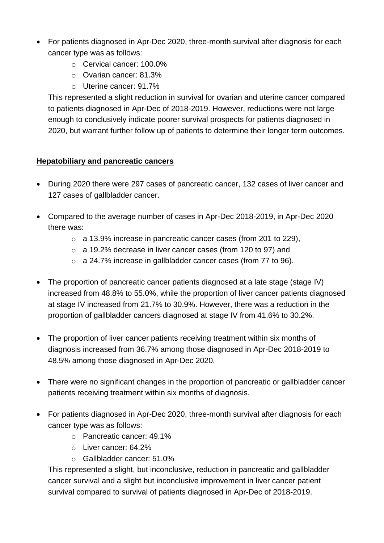- For patients diagnosed in Apr-Dec 2020, three-month survival after diagnosis for each cancer type was as follows:
	- o Cervical cancer: 100.0%
	- o Ovarian cancer: 81.3%
	- o Uterine cancer: 91.7%

This represented a slight reduction in survival for ovarian and uterine cancer compared to patients diagnosed in Apr-Dec of 2018-2019. However, reductions were not large enough to conclusively indicate poorer survival prospects for patients diagnosed in 2020, but warrant further follow up of patients to determine their longer term outcomes.

## **Hepatobiliary and pancreatic cancers**

- During 2020 there were 297 cases of pancreatic cancer, 132 cases of liver cancer and 127 cases of gallbladder cancer.
- Compared to the average number of cases in Apr-Dec 2018-2019, in Apr-Dec 2020 there was:
	- o a 13.9% increase in pancreatic cancer cases (from 201 to 229),
	- o a 19.2% decrease in liver cancer cases (from 120 to 97) and
	- o a 24.7% increase in gallbladder cancer cases (from 77 to 96).
- The proportion of pancreatic cancer patients diagnosed at a late stage (stage IV) increased from 48.8% to 55.0%, while the proportion of liver cancer patients diagnosed at stage IV increased from 21.7% to 30.9%. However, there was a reduction in the proportion of gallbladder cancers diagnosed at stage IV from 41.6% to 30.2%.
- The proportion of liver cancer patients receiving treatment within six months of diagnosis increased from 36.7% among those diagnosed in Apr-Dec 2018-2019 to 48.5% among those diagnosed in Apr-Dec 2020.
- There were no significant changes in the proportion of pancreatic or gallbladder cancer patients receiving treatment within six months of diagnosis.
- For patients diagnosed in Apr-Dec 2020, three-month survival after diagnosis for each cancer type was as follows:
	- o Pancreatic cancer: 49.1%
	- o Liver cancer: 64.2%
	- o Gallbladder cancer: 51.0%

This represented a slight, but inconclusive, reduction in pancreatic and gallbladder cancer survival and a slight but inconclusive improvement in liver cancer patient survival compared to survival of patients diagnosed in Apr-Dec of 2018-2019.